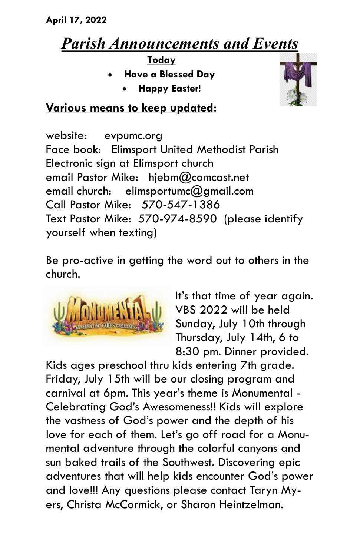## *Parish Announcements and Events*

**Today**

- **Have a Blessed Day**
	- **Happy Easter!**



## **Various means to keep updated:**

website: evpumc.org Face book: Elimsport United Methodist Parish Electronic sign at Elimsport church email Pastor Mike: hjebm@comcast.net email church: elimsportumc $@$ amail.com Call Pastor Mike: 570-547-1386 Text Pastor Mike: 570-974-8590 (please identify yourself when texting)

Be pro-active in getting the word out to others in the church.



It's that time of year again. VBS 2022 will be held Sunday, July 10th through Thursday, July 14th, 6 to 8:30 pm. Dinner provided.

Kids ages preschool thru kids entering 7th grade. Friday, July 15th will be our closing program and carnival at 6pm. This year's theme is Monumental - Celebrating God's Awesomeness!! Kids will explore the vastness of God's power and the depth of his love for each of them. Let's go off road for a Monumental adventure through the colorful canyons and sun baked trails of the Southwest. Discovering epic adventures that will help kids encounter God's power and love!!! Any questions please contact Taryn Myers, Christa McCormick, or Sharon Heintzelman.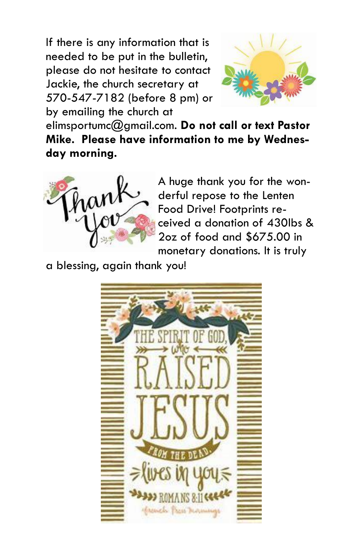If there is any information that is needed to be put in the bulletin, please do not hesitate to contact Jackie, the church secretary at 570-547-7182 (before 8 pm) or by emailing the church at



elimsportumc@gmail.com. **Do not call or text Pastor Mike. Please have information to me by Wednesday morning.**



A huge thank you for the wonderful repose to the Lenten Food Drive! Footprints received a donation of 430lbs & 2oz of food and \$675.00 in monetary donations. It is truly

a blessing, again thank you!

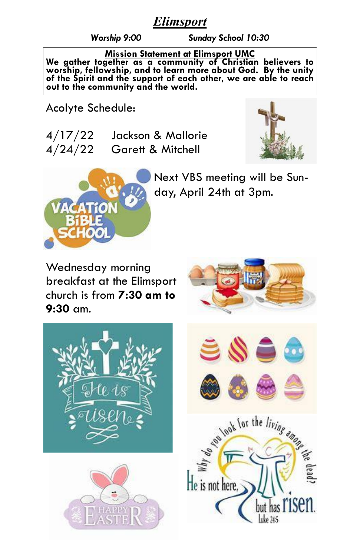## *Elimsport*

*Worship 9:00 Sunday School 10:30*

**Mission Statement at Elimsport UMC**

**We gather together as a community of Christian believers to worship, fellowship, and to learn more about God. By the unity of the Spirit and the support of each other, we are able to reach out to the community and the world.**

Acolyte Schedule:

| 4/17/22 | Jackson & Mallorie           |
|---------|------------------------------|
| 4/24/22 | <b>Garett &amp; Mitchell</b> |





Next VBS meeting will be Sunday, April 24th at 3pm.

Wednesday morning breakfast at the Elimsport church is from **7:30 am to 9:30** am.